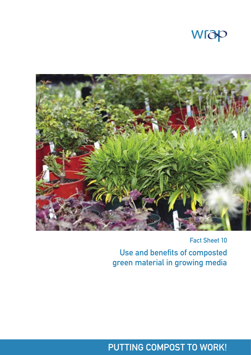



Fact Sheet 10

Use and benefits of composted green material in growing media

## PUTTING COMPOST TO WORK!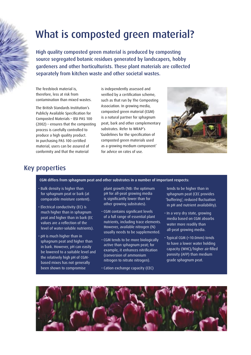# What is composted green material?

High quality composted green material is produced by composting source segregated botanic residues generated by landscapers, hobby gardeners and other horticulturists. These plant materials are collected separately from kitchen waste and other societal wastes.

The feedstock material is, therefore, less at risk from contamination than mixed wastes.

The British Standards Institution's Publicly Available Specification for Composted Materials – BSI PAS 100 (2002) – ensures that the composting process is carefully controlled to produce a high quality product. In purchasing PAS 100 certified material, users can be assured of conformity and that the material

is independently assessed and verified by a certification scheme, such as that run by The Composting Association. In growing media, composted green material (CGM) is a natural partner for sphagnum peat, bark and other complementary substrates. Refer to WRAP's 'Guidelines for the specification of composted green materials used as a growing medium component' for advice on rates of use.



## Key properties

CGM differs from sphagnum peat and other substrates in a number of important respects:

- Bulk density is higher than for sphagnum peat or bark (at comparable moisture content).
- Electrical conductivity (EC) is much higher than in sphagnum peat and higher than in bark (EC values are a reflection of the level of water-soluble nutrients).
- pH is much higher than in sphagnum peat and higher than in bark. However, pH can easily be lowered to a suitable level and the relatively high pH of CGMbased mixes has not generally been shown to compromise

plant growth (NB: the optimum pH for all-peat growing media is significantly lower than for other growing substrates).

- CGM contains significant levels of a full range of essential plant nutrients, including trace elements. However, available nitrogen (N) usually needs to be supplemented.
- CGM tends to be more biologically active than sphagnum peat; for example, it enhances nitrification (conversion of ammonium nitrogen to nitrate nitrogen).
- Cation exchange capacity (CEC)

tends to be higher than in sphagnum peat (CEC provides 'buffering'; reduced fluctuation in pH and nutrient availability).

- In a very dry state, growing media based on CGM absorbs water more readily than all-peat growing media.
- Typical CGM (<10.0mm) tends to have a lower water holding capacity (WHC)/higher air-filled porosity (AFP) than medium grade sphagnum peat.

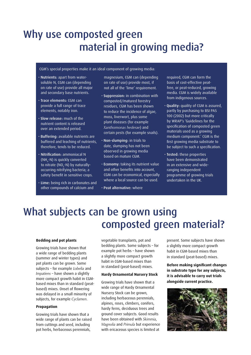## Why use composted green material in growing media?

## CGM's special properties make it an ideal component of growing media:

- Nutrients: apart from watersoluble N, CGM can (depending on rate of use) provide all major and secondary base nutrients.
- Trace elements: CGM can provide a full range of trace elements, notably iron.
- Slow release: much of the nutrient content is released over an extended period.
- Buffering: available nutrients are buffered and leaching of nutrients, therefore, tends to be reduced.
- Nitrification: ammoniacal N (NH4 -N) is quickly converted to nitrate (NO $_{\text{3}}$ -N) by naturallyoccurring nitrifying bacteria; a safety benefit in sensitive crops.
- Lime: being rich in carbonates and other compounds of calcium and

magnesium, CGM can (depending on rate of use) provide most, if not all of the 'lime' requirement.

- Suppression: in combination with composted/matured forestry residues, CGM has been shown to reduce the incidence of algae. moss, liverwort, plus some plant diseases (for example *Xanthomonas hederae*) and certain pests (for example snails).
- Non-slumping: in trials to date, slumping has not been observed in growing media based on mature CGM.
- Economy: taking its nutrient value and other benefits into account, CGM can be economical, especially where a local source can be used.
- Peat alternative: where

required, CGM can form the basis of cost-effective peatfree, or peat-reduced, growing media. CGM is widely available from indigenous sources.

- Quality: quality of CGM is assured, partly by purchasing to BSI PAS 100 (2002) but more critically by WRAP's 'Guidelines for the specification of composted green materials used as a growing medium component.' CGM is the first growing media substrate to be subject to such a specification.
- Tested: these properties have been demonstrated in an extensive and wideranging independent programme of growing trials undertaken in the UK.

## What subjects can be grown using composted green material?

#### **Bedding and pot plants**

Growing trials have shown that a wide range of bedding plants (summer and winter types) and pot plants can be grown. Some subjects – for example *Lobelia* and *Impatiens* – have shown a slightly more compact growth habit in CGMbased mixes than in standard (peatbased) mixes. Onset of flowering was delayed in a small minority of subjects, for example *Cyclamen*.

## **Propagation**

Growing trials have shown that a wide range of plants can be raised from cuttings and seed, including pot herbs, herbaceous perennials,

vegetable transplants, pot and bedding plants. Some subjects – for example pot herbs – have shown a slightly more compact growth habit in CGM-based mixes than in standard (peat-based) mixes.

## **Hardy Ornamental Nursery Stock**

Growing trials have shown that a wide range of Hardy Ornamental Nursery Stock can be grown, including herbaceous perennials, alpines, roses, climbers, conifers, hardy ferns, deciduous trees and ground cover subjects. Good results have been obtained with *Skimmia*, *Magnolia* and *Primula* but experience with ericaceous species is limited at

present. Some subjects have shown a slightly more compact growth habit in CGM-based mixes than in standard (peat-based) mixes.

**Before making significant changes in substrate type for any subjects, it is advisable to carry out trials alongside current practice.**

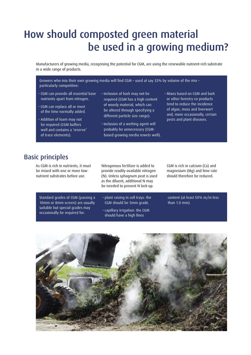## How should composted green material be used in a growing medium?

Manufacturers of growing media, recognising the potential for CGM, are using the renewable nutrient-rich substrate in a wide range of products.

Growers who mix their own growing media will find CGM – used at say 33% by volume of the mix – particularly competitive:

- CGM can provide all essential base nutrients apart from nitrogen.
- CGM can replace all or most of the lime normally added.
- Addition of loam may not be required (CGM buffers well and contains a 'reserve' of trace elements).
- Inclusion of bark may not be required (CGM has a high content of woody material, which can be altered through specifying a different particle size range).
- Inclusion of a wetting agent will probably be unnecessary (CGMbased growing media rewets well).
- Mixes based on CGM and bark or other forestry co-products tend to reduce the incidence of algae, moss and liverwort and, more occasionally, certain pests and plant diseases.

## Basic principles

As CGM is rich in nutrients, it must be mixed with one or more lownutrient substrates before use.

Standard grades of CGM (passing a 10mm or 8mm screen) are usually suitable but special grades may occasionally be required for:

Nitrogenous fertilizer is added to provide readily-available nitrogen (N). Unless sphagnum peat is used as the diluent, additional N may be needed to prevent N lock-up.

- plant raising in cell trays: the CGM should be 5mm grade.
- capillary irrigation: the CGM should have a high fines

CGM is rich in calcium (Ca) and magnesium (Mg) and lime rate should therefore be reduced.

content (at least 50% m/m less than 1.0 mm).

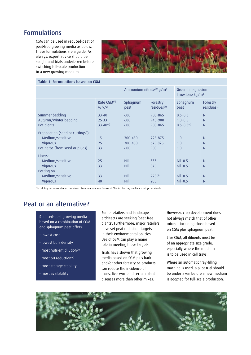## Formulations

CGM can be used in reduced-peat or peat-free growing media as below. These formulations are a guide. As always, expert advice should be sought and trials undertaken before switching full-scale production to a new growing medium.



## **Table 1. Formulations based on CGM**

|                                                                                                    |                                           | Ammonium nitrate <sup>(1)</sup> g/m <sup>3</sup> |                                  | Ground magnesium<br>limestone kg/m <sup>3</sup>  |                                               |
|----------------------------------------------------------------------------------------------------|-------------------------------------------|--------------------------------------------------|----------------------------------|--------------------------------------------------|-----------------------------------------------|
|                                                                                                    | Rate $CGM(2)$<br>$\frac{0}{0}$ v/v        | Sphagnum<br>peat                                 | Forestry<br>residues $(3)$       | Sphagnum<br>peat                                 | Forestry<br>residues <sup>(3)</sup>           |
| Summer bedding<br>Autumn/winter bedding<br>Pot plants                                              | $33 - 40$<br>$25 - 33$<br>$33 - 40^{(4)}$ | 600<br>600<br>600                                | 900-865<br>940-900<br>900-865    | $0.5 - 0.3$<br>$1.0 - 0.5$<br>$0.5 - 0.3(4)$     | <b>Nil</b><br>Nil<br>Nil                      |
| Propagation (seed or cuttings*):<br>Medium/sensitive<br>Vigorous<br>Pot herbs (from seed or plugs) | 15<br>25<br>33                            | 300-450<br>300-450<br>600                        | 725-875<br>675-825<br>900        | 1.0<br>1.0<br>1.0                                | Nil<br><b>Nil</b><br>Nil                      |
| Liners:<br>Medium/sensitive<br>Vigorous<br>Potting on:<br>Medium/sensitive<br>Vigorous             | 25<br>33<br>33<br>40                      | <b>Nil</b><br><b>Nil</b><br><b>Nil</b><br>Nil    | 333<br>375<br>$223^{(5)}$<br>200 | $Nil-0.5$<br>$NiI-0.5$<br>$NiI-0.5$<br>$Nil-0.5$ | <b>Nil</b><br>Nil<br><b>Nil</b><br><b>Nil</b> |

\*In cell trays or conventional containers. Recommendations for use of CGM in blocking media are not yet available.

## Peat or an alternative?

Reduced-peat growing media based on a combination of CGM and sphagnum peat offers:

- lowest cost
- lowest bulk density
- $\cdot$  most nutrient dilution<sup>(6)</sup>
- $\cdot$  most pH reduction<sup>(6)</sup>
- most storage stability
- most availability

Some retailers and landscape architects are seeking 'peat-free plants'. Furthermore, major retailers have set peat reduction targets in their environmental policies. Use of CGM can play a major role in meeting these targets.

Trials have shown that growing media based on CGM plus bark and/or other forestry co-products can reduce the incidence of moss, liverwort and certain plant diseases more than other mixes.

However, crop development does not always match that of other mixes – including those based on CGM plus sphagnum peat.

Like CGM, all diluents must be of an appropriate size grade, especially where the medium is to be used in cell trays.

Where an automatic tray-filling machine is used, a pilot trial should be undertaken before a new medium is adopted for full-scale production.

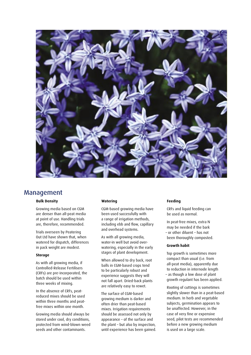

## Management

## **Bulk Density**

Growing media based on CGM are denser than all-peat media at point of use. Handling trials are, therefore, recommended.

Trials overseen by Peatering Out Ltd have shown that, when watered for dispatch, differences in pack weight are modest.

#### **Storage**

As with all growing media, if Controlled-Release Fertilisers (CRFs) are pre-incorporated, the batch should be used within three weeks of mixing.

In the absence of CRFs, peatreduced mixes should be used within three months and peatfree mixes within one month.

Growing media should always be stored under cool, dry conditions, protected from wind-blown weed seeds and other contaminants.

## **Watering**

CGM-based growing media have been used successfully with a range of irrigation methods, including ebb and flow, capillary and overhead systems.

As with all growing media, water-in well but avoid overwatering, especially in the early stages of plant development.

When allowed to dry back, root balls in CGM-based crops tend to be particularly robust and experience suggests they will not fall apart. Dried-back plants are relatively easy to rewet.

The surface of CGM-based growing medium is darker and often drier than peat-based mixes. Irrigation requirements should be assessed not only by appearance – of the surface and the plant – but also by inspection, until experience has been gained.

#### **Feeding**

CRFs and liquid feeding can be used as normal.

In peat-free mixes, extra N may be needed if the bark – or other diluent – has not been thoroughly composted.

### **Growth habit**

Top growth is sometimes more compact than usual (i.e. from all-peat media), apparently due to reduction in internode length – as though a low dose of plant growth regulant has been applied.

Rooting of cuttings is sometimes slightly slower than in a peat-based medium. In herb and vegetable subjects, germination appears to be unaffected. However, in the case of very fine or expensive seed, pilot tests are recommended before a new growing medium is used on a large scale.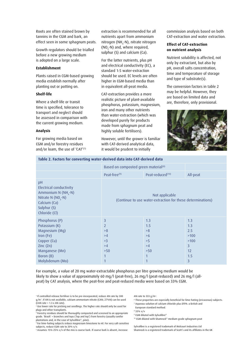Roots are often stained brown by tannins in the CGM and bark, an effect seen in some sphagnum peats.

Growth regulators should be trialled before a new growing medium is adopted on a large scale.

#### **Establishment**

Plants raised in CGM-based growing media establish normally after planting out or potting on.

## **Shelf-life**

Where a shelf-life or transit time is specified, tolerance to transport and neglect should be assessed in comparison with the current growing medium.

#### **Analysis**

For growing media based on CGM and/or forestry residues and/or loam, the use of 'CAT<sup>'(7)</sup> extraction is recommended for all nutrients apart from ammonium nitrogen (NH<sub>4</sub>-N), nitrate nitrogen (NO<sub>3</sub>-N) and, where required, sulphur (S) and calcium (Ca).

For the latter nutrients, plus pH and electrical conductivity (EC), a standard 1:5 water-extraction should be used. EC levels are often higher in CGM-based media than in equivalent all-peat media.

CAT-extraction provides a more realistic picture of plant-available phosphorus, potassium, magnesium, iron and many other nutrients than water-extraction (which was developed purely for products made from sphagnum peat and highly soluble fertilisers).

However, until the grower is familiar with CAT-derived analytical data, it would be prudent to initially

commission analysis based on both CAT-extraction and water extraction.

## **Effect of CAT-extraction on nutrient analysis**

Nutrient solubility is affected, not only by extractant, but also by pH, overall salts concentration, time and temperature of storage and type of substrate(s).

The conversion factors in table 2 may be helpful. However, they are based on limited data and are, therefore, only provisional.



## **Table 2. Factors for converting water-derived data into CAT-derived data**

|                                                                                                                                                             | Based on composted green material <sup>(8)</sup>                              |                                             |                                                                       |  |  |
|-------------------------------------------------------------------------------------------------------------------------------------------------------------|-------------------------------------------------------------------------------|---------------------------------------------|-----------------------------------------------------------------------|--|--|
|                                                                                                                                                             | Peat-free <sup>(9)</sup>                                                      | Peat-reduced <sup>(10)</sup>                | All-peat                                                              |  |  |
| pH<br>Electrical conductivity<br>Ammonium N $(NH_a-N)$<br>Nitrate N $(NO, -N)$<br>Calcium (Ca)<br>Sulphur (S)<br>Chloride (Cl)                              | Not applicable<br>(Continue to use water-extraction for these determinations) |                                             |                                                                       |  |  |
| Phosphorus (P)<br>Potassium (K)<br>Magnesium (Mg)<br>Iron (Fe)<br>Copper (Cu)<br>$\text{Zinc}(\text{Zn})$<br>Manganese (Mn)<br>Boron (B)<br>Molybdenum (Mo) | $\overline{3}$<br>$\overline{2}$<br>>8<br>>4<br>>3<br>>4<br>$>50$<br>1        | 1.3<br>1.5<br>>8<br>>6<br>>5<br>>4<br>$>50$ | 1.3<br>1.3<br>2.5<br>>100<br>>100<br>$\overline{3}$<br>12<br>1.5<br>3 |  |  |

For example, a value of 20 mg water-extractable phosphorus per litre growing medium would be likely to show a value of approximately 60 mg/l (peat-free), 26 mg/l (peat-reduced) and 26 mg/l (allpeat) by CAT analysis, where the peat-free and peat-reduced media were based on 33% CGM.

2 Use lower rate for pricking out seedlings. The higher rate should only be used for plugs and other transplants.

3 Forestry residues should be thoroughly composted and screened to an appropriate grade. 'Brash' = branches and tops ('lop and top') from forestry (usually conifer plantations and, in the case of Sylvafibre®, pine).

5 Assumes 15%-25% v/v of the mix is coarse bark. If coarse bark is absent, increase

AN rate to 333 g/m*3*.

- 6 These properties are especially beneficial for lime-hating (ericaceous) subjects.
- 7 Aqueous solution of calcium chloride plus DTPA: a British and

European standard method.

- 8 33% v/v
- 9 CGM diluted with Sylvafibre®

10 CGM diluted with Shamrock® medium grade sphagnum peat

Sylvafibre is a registered trademark of Melcourt Industries Ltd Shamrock is a registered trademark of Scott's and its affiliates in the UK

<sup>1</sup> If controlled-release fertiliser is to be pre-incorporated, reduce AN rate by 300 g/m*3*. If AN is not available, calcium ammonium nitrate (CAN; 27%N) can be used  $(CAN$  rate = 1.3 x AN rate).

<sup>4</sup> For lime-hating subjects reduce magnesium limestone to nil. For very salt-sensitive subjects, reduce CGM rate to 20% v/v.